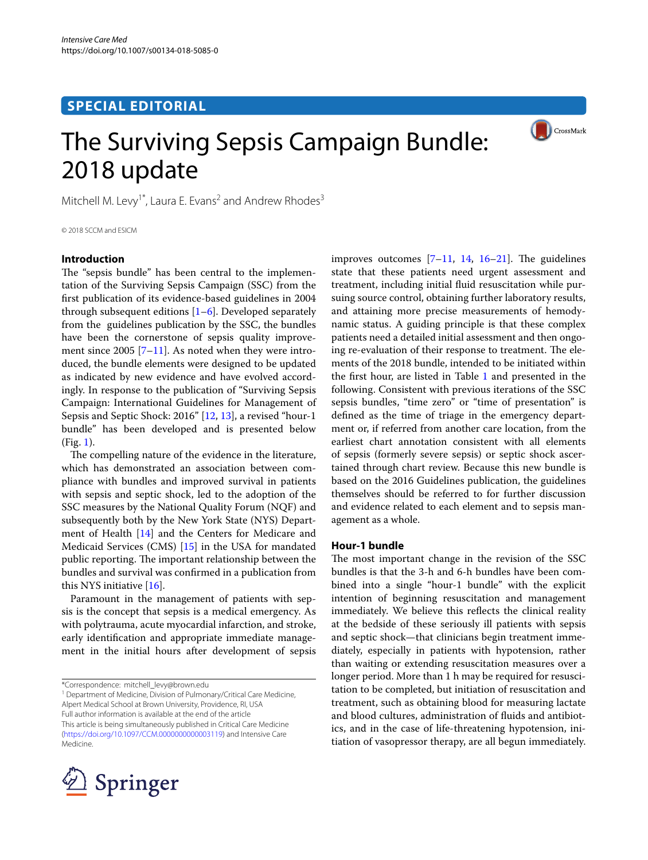# **SPECIAL EDITORIAL**



# The Surviving Sepsis Campaign Bundle: 2018 update

Mitchell M. Levy<sup>1\*</sup>, Laura E. Evans<sup>2</sup> and Andrew Rhodes<sup>3</sup>

© 2018 SCCM and ESICM

# **Introduction**

The "sepsis bundle" has been central to the implementation of the Surviving Sepsis Campaign (SSC) from the frst publication of its evidence-based guidelines in 2004 through subsequent editions  $[1-6]$  $[1-6]$  $[1-6]$ . Developed separately from the guidelines publication by the SSC, the bundles have been the cornerstone of sepsis quality improvement since 2005  $[7-11]$  $[7-11]$ . As noted when they were introduced, the bundle elements were designed to be updated as indicated by new evidence and have evolved accordingly. In response to the publication of "Surviving Sepsis Campaign: International Guidelines for Management of Sepsis and Septic Shock: 2016" [\[12](#page-2-4), [13\]](#page-2-5), a revised "hour-1 bundle" has been developed and is presented below (Fig. [1\)](#page-1-0).

The compelling nature of the evidence in the literature, which has demonstrated an association between compliance with bundles and improved survival in patients with sepsis and septic shock, led to the adoption of the SSC measures by the National Quality Forum (NQF) and subsequently both by the New York State (NYS) Department of Health [[14](#page-2-6)] and the Centers for Medicare and Medicaid Services (CMS) [[15\]](#page-3-0) in the USA for mandated public reporting. The important relationship between the bundles and survival was confrmed in a publication from this NYS initiative [[16](#page-3-1)].

Paramount in the management of patients with sepsis is the concept that sepsis is a medical emergency. As with polytrauma, acute myocardial infarction, and stroke, early identifcation and appropriate immediate management in the initial hours after development of sepsis

<sup>1</sup> Department of Medicine, Division of Pulmonary/Critical Care Medicine, Alpert Medical School at Brown University, Providence, RI, USA Full author information is available at the end of the article This article is being simultaneously published in Critical Care Medicine ([https://doi.org/10.1097/CCM.0000000000003119\)](https://doi.org/10.1097/CCM.0000000000003119) and Intensive Care Medicine.



improves outcomes  $[7-11, 14, 16-21]$  $[7-11, 14, 16-21]$  $[7-11, 14, 16-21]$  $[7-11, 14, 16-21]$  $[7-11, 14, 16-21]$  $[7-11, 14, 16-21]$  $[7-11, 14, 16-21]$ . The guidelines state that these patients need urgent assessment and treatment, including initial fuid resuscitation while pursuing source control, obtaining further laboratory results, and attaining more precise measurements of hemodynamic status. A guiding principle is that these complex patients need a detailed initial assessment and then ongoing re-evaluation of their response to treatment. The elements of the 2018 bundle, intended to be initiated within the frst hour, are listed in Table [1](#page-1-1) and presented in the following. Consistent with previous iterations of the SSC sepsis bundles, "time zero" or "time of presentation" is defned as the time of triage in the emergency department or, if referred from another care location, from the earliest chart annotation consistent with all elements of sepsis (formerly severe sepsis) or septic shock ascertained through chart review. Because this new bundle is based on the 2016 Guidelines publication, the guidelines themselves should be referred to for further discussion and evidence related to each element and to sepsis management as a whole.

#### **Hour‑1 bundle**

The most important change in the revision of the SSC bundles is that the 3-h and 6-h bundles have been combined into a single "hour-1 bundle" with the explicit intention of beginning resuscitation and management immediately. We believe this refects the clinical reality at the bedside of these seriously ill patients with sepsis and septic shock—that clinicians begin treatment immediately, especially in patients with hypotension, rather than waiting or extending resuscitation measures over a longer period. More than 1 h may be required for resuscitation to be completed, but initiation of resuscitation and treatment, such as obtaining blood for measuring lactate and blood cultures, administration of fuids and antibiotics, and in the case of life-threatening hypotension, initiation of vasopressor therapy, are all begun immediately.

<sup>\*</sup>Correspondence: mitchell\_levy@brown.edu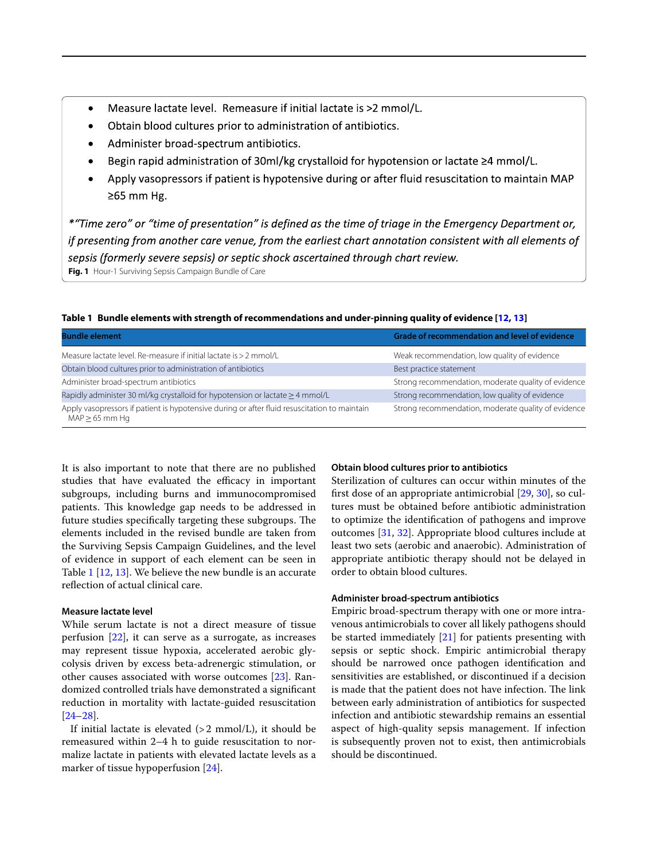- Measure lactate level. Remeasure if initial lactate is >2 mmol/L.
- Obtain blood cultures prior to administration of antibiotics.  $\bullet$
- Administer broad-spectrum antibiotics.
- Begin rapid administration of 30ml/kg crystalloid for hypotension or lactate  $\geq 4$  mmol/L.
- Apply vasopressors if patient is hypotensive during or after fluid resuscitation to maintain MAP  $\geq$ 65 mm Hg.

<span id="page-1-0"></span>\*"Time zero" or "time of presentation" is defined as the time of triage in the Emergency Department or, if presenting from another care venue, from the earliest chart annotation consistent with all elements of sepsis (formerly severe sepsis) or septic shock ascertained through chart review. **Fig. 1** Hour-1 Surviving Sepsis Campaign Bundle of Care

| <b>Bundle element</b>                                                                        | <b>Grade of recommendation and level of evidence</b> |
|----------------------------------------------------------------------------------------------|------------------------------------------------------|
| Measure lactate level. Re-measure if initial lactate is > 2 mmol/L                           | Weak recommendation, low quality of evidence         |
| Obtain blood cultures prior to administration of antibiotics                                 | Best practice statement                              |
| Administer broad-spectrum antibiotics                                                        | Strong recommendation, moderate quality of evidence  |
| Rapidly administer 30 ml/kg crystalloid for hypotension or lactate $\geq$ 4 mmol/L           | Strong recommendation, low quality of evidence       |
| Apply vasopressors if patient is hypotensive during or after fluid resuscitation to maintain | Strong recommendation, moderate quality of evidence  |

<span id="page-1-1"></span>**Table 1 Bundle elements with strength of recommendations and under-pinning quality of evidence [[12,](#page-2-4) [13](#page-2-5)]**

It is also important to note that there are no published studies that have evaluated the efficacy in important subgroups, including burns and immunocompromised patients. This knowledge gap needs to be addressed in future studies specifically targeting these subgroups. The elements included in the revised bundle are taken from the Surviving Sepsis Campaign Guidelines, and the level of evidence in support of each element can be seen in Table [1](#page-1-1) [[12](#page-2-4), [13\]](#page-2-5). We believe the new bundle is an accurate refection of actual clinical care.

# **Measure lactate level**

MAP≥65 mm Hg

While serum lactate is not a direct measure of tissue perfusion [[22\]](#page-3-3), it can serve as a surrogate, as increases may represent tissue hypoxia, accelerated aerobic glycolysis driven by excess beta-adrenergic stimulation, or other causes associated with worse outcomes [\[23](#page-3-4)]. Randomized controlled trials have demonstrated a signifcant reduction in mortality with lactate-guided resuscitation [[24–](#page-3-5)[28](#page-3-6)].

If initial lactate is elevated  $(>2$  mmol/L), it should be remeasured within 2–4 h to guide resuscitation to normalize lactate in patients with elevated lactate levels as a marker of tissue hypoperfusion [[24](#page-3-5)].

### **Obtain blood cultures prior to antibiotics**

Sterilization of cultures can occur within minutes of the frst dose of an appropriate antimicrobial [[29](#page-3-7), [30](#page-3-8)], so cultures must be obtained before antibiotic administration to optimize the identifcation of pathogens and improve outcomes [\[31](#page-3-9), [32](#page-3-10)]. Appropriate blood cultures include at least two sets (aerobic and anaerobic). Administration of appropriate antibiotic therapy should not be delayed in order to obtain blood cultures.

# **Administer broad‑spectrum antibiotics**

Empiric broad-spectrum therapy with one or more intravenous antimicrobials to cover all likely pathogens should be started immediately [[21](#page-3-2)] for patients presenting with sepsis or septic shock. Empiric antimicrobial therapy should be narrowed once pathogen identifcation and sensitivities are established, or discontinued if a decision is made that the patient does not have infection. The link between early administration of antibiotics for suspected infection and antibiotic stewardship remains an essential aspect of high-quality sepsis management. If infection is subsequently proven not to exist, then antimicrobials should be discontinued.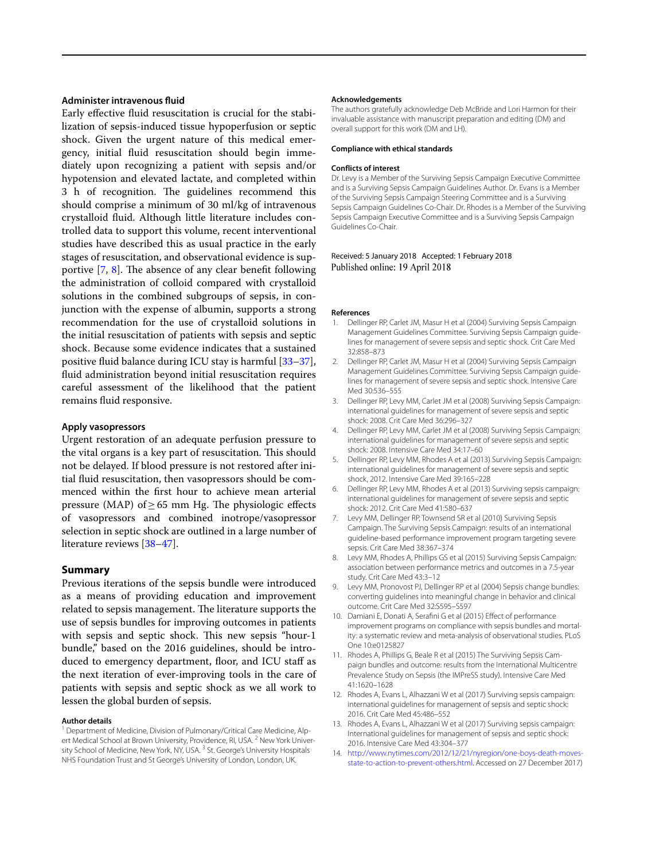# **Administer intravenous fuid**

Early efective fuid resuscitation is crucial for the stabilization of sepsis-induced tissue hypoperfusion or septic shock. Given the urgent nature of this medical emergency, initial fuid resuscitation should begin immediately upon recognizing a patient with sepsis and/or hypotension and elevated lactate, and completed within 3 h of recognition. The guidelines recommend this should comprise a minimum of 30 ml/kg of intravenous crystalloid fuid. Although little literature includes controlled data to support this volume, recent interventional studies have described this as usual practice in the early stages of resuscitation, and observational evidence is supportive  $[7, 8]$  $[7, 8]$  $[7, 8]$  $[7, 8]$ . The absence of any clear benefit following the administration of colloid compared with crystalloid solutions in the combined subgroups of sepsis, in conjunction with the expense of albumin, supports a strong recommendation for the use of crystalloid solutions in the initial resuscitation of patients with sepsis and septic shock. Because some evidence indicates that a sustained positive fuid balance during ICU stay is harmful [[33](#page-3-11)[–37](#page-3-12)], fuid administration beyond initial resuscitation requires careful assessment of the likelihood that the patient remains fuid responsive.

#### **Apply vasopressors**

Urgent restoration of an adequate perfusion pressure to the vital organs is a key part of resuscitation. This should not be delayed. If blood pressure is not restored after initial fuid resuscitation, then vasopressors should be commenced within the frst hour to achieve mean arterial pressure (MAP) of  $\geq$  65 mm Hg. The physiologic effects of vasopressors and combined inotrope/vasopressor selection in septic shock are outlined in a large number of literature reviews [\[38–](#page-3-13)[47\]](#page-3-14).

# **Summary**

Previous iterations of the sepsis bundle were introduced as a means of providing education and improvement related to sepsis management. The literature supports the use of sepsis bundles for improving outcomes in patients with sepsis and septic shock. This new sepsis "hour-1" bundle," based on the 2016 guidelines, should be introduced to emergency department, foor, and ICU staf as the next iteration of ever-improving tools in the care of patients with sepsis and septic shock as we all work to lessen the global burden of sepsis.

#### **Author details**

<sup>1</sup> Department of Medicine, Division of Pulmonary/Critical Care Medicine, Alpert Medical School at Brown University, Providence, RI, USA.<sup>2</sup> New York University School of Medicine, New York, NY, USA.<sup>3</sup> St. George's University Hospitals NHS Foundation Trust and St George's University of London, London, UK.

#### **Acknowledgements**

The authors gratefully acknowledge Deb McBride and Lori Harmon for their invaluable assistance with manuscript preparation and editing (DM) and overall support for this work (DM and LH).

#### **Compliance with ethical standards**

#### **Conflicts of interest**

Dr. Levy is a Member of the Surviving Sepsis Campaign Executive Committee and is a Surviving Sepsis Campaign Guidelines Author. Dr. Evans is a Member of the Surviving Sepsis Campaign Steering Committee and is a Surviving Sepsis Campaign Guidelines Co-Chair. Dr. Rhodes is a Member of the Surviving Sepsis Campaign Executive Committee and is a Surviving Sepsis Campaign Guidelines Co-Chair.

#### Received: 5 January 2018 Accepted: 1 February 2018 Published online: 19 April 2018

#### **References**

- <span id="page-2-0"></span>1. Dellinger RP, Carlet JM, Masur H et al (2004) Surviving Sepsis Campaign Management Guidelines Committee. Surviving Sepsis Campaign guidelines for management of severe sepsis and septic shock. Crit Care Med 32:858–873
- 2. Dellinger RP, Carlet JM, Masur H et al (2004) Surviving Sepsis Campaign Management Guidelines Committee. Surviving Sepsis Campaign guidelines for management of severe sepsis and septic shock. Intensive Care Med 30:536–555
- 3. Dellinger RP, Levy MM, Carlet JM et al (2008) Surviving Sepsis Campaign: international guidelines for management of severe sepsis and septic shock: 2008. Crit Care Med 36:296–327
- 4. Dellinger RP, Levy MM, Carlet JM et al (2008) Surviving Sepsis Campaign: international guidelines for management of severe sepsis and septic shock: 2008. Intensive Care Med 34:17–60
- 5. Dellinger RP, Levy MM, Rhodes A et al (2013) Surviving Sepsis Campaign: international guidelines for management of severe sepsis and septic shock, 2012. Intensive Care Med 39:165–228
- <span id="page-2-1"></span>6. Dellinger RP, Levy MM, Rhodes A et al (2013) Surviving sepsis campaign: international guidelines for management of severe sepsis and septic shock: 2012. Crit Care Med 41:580–637
- <span id="page-2-2"></span>7. Levy MM, Dellinger RP, Townsend SR et al (2010) Surviving Sepsis Campaign. The Surviving Sepsis Campaign: results of an international guideline-based performance improvement program targeting severe sepsis. Crit Care Med 38:367–374
- <span id="page-2-7"></span>8. Levy MM, Rhodes A, Phillips GS et al (2015) Surviving Sepsis Campaign: association between performance metrics and outcomes in a 7.5-year study. Crit Care Med 43:3–12
- 9. Levy MM, Pronovost PJ, Dellinger RP et al (2004) Sepsis change bundles: converting guidelines into meaningful change in behavior and clinical outcome. Crit Care Med 32:S595–S597
- 10. Damiani E, Donati A, Serafni G et al (2015) Efect of performance improvement programs on compliance with sepsis bundles and mortality: a systematic review and meta-analysis of observational studies. PLoS One 10:e0125827
- <span id="page-2-3"></span>11. Rhodes A, Phillips G, Beale R et al (2015) The Surviving Sepsis Campaign bundles and outcome: results from the International Multicentre Prevalence Study on Sepsis (the IMPreSS study). Intensive Care Med 41:1620–1628
- <span id="page-2-4"></span>12. Rhodes A, Evans L, Alhazzani W et al (2017) Surviving sepsis campaign: international guidelines for management of sepsis and septic shock: 2016. Crit Care Med 45:486–552
- <span id="page-2-5"></span>13. Rhodes A, Evans L, Alhazzani W et al (2017) Surviving sepsis campaign: International guidelines for management of sepsis and septic shock: 2016. Intensive Care Med 43:304–377
- <span id="page-2-6"></span>14. [http://www.nytimes.com/2012/12/21/nyregion/one-boys-death-moves](http://www.nytimes.com/2012/12/21/nyregion/one-boys-death-moves-state-to-action-to-prevent-others.html)[state-to-action-to-prevent-others.html.](http://www.nytimes.com/2012/12/21/nyregion/one-boys-death-moves-state-to-action-to-prevent-others.html) Accessed on 27 December 2017)